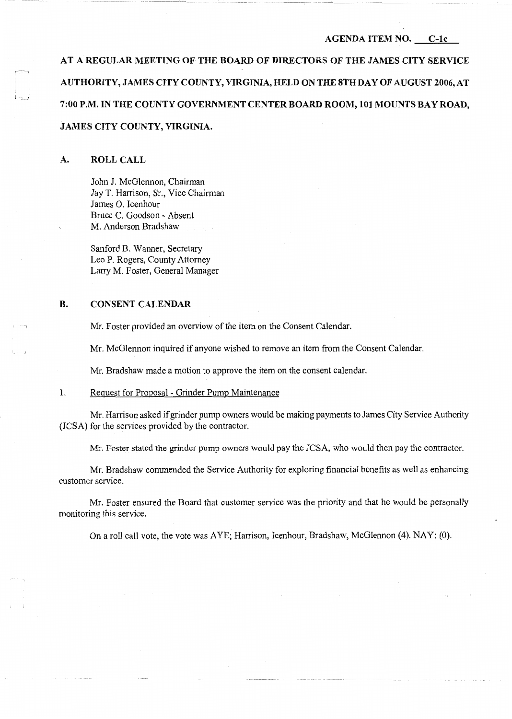# **AGENDA ITEM** NO. **C-lc**

**AT A REGULAR MEETING OF THE BOARD OF DIRECTORS OF THE JAMES CITY SERVICE AUTHORITY, JAMES CITY COUNTY, VIRGINIA, HELD ON THE STH DAY OF AUGUST 2006, AT**  7:00 P.M. IN THE COUNTY GOVERNMENT CENTER BOARD ROOM, 101 MOUNTS BAY ROAD, **JAMES CITY COUNTY, VIRGINIA.** 

#### **A. ROLL CALL**

John J. McGlennon, Chairman Jay T. Harrison, Sr., Vice Chairman James 0. Icenhour Bruce C. Goodson - Absent M. Anderson Bradshaw

Sanford B. Wanner, Secretary Leo P. Rogers, County Attorney Larry M. Foster, General Manager

### **B. CONSENT CALENDAR**

Mr. Foster provided an overview of the item on the Consent Calendar.

Mr. McGlennon inquired if anyone wished to remove an item from the Consent Calendar.

Mr. Bradshaw made a motion to approve the item on the consent calendar.

## 1. Request for Proposal - Grinder Pump Maintenance

Mr. Harrison asked if grinder pump owners would be making payments to James City Service Authority (JCSA) for the services provided by the contractor.

Mr. Foster stated the grinder pump owners would pay the JCSA, who would then pay the contractor.

Mr. Bradshaw commended the Service Authority for exploring financial benefits as well as enhancing customer service.

Mr. Foster ensured the Board that customer service was the priority and that he would be personally monitoring this service.

On a roll call vote, the vote was AYE; Harrison, Icenhour, Bradshaw, McGlennon (4). NAY: (0).